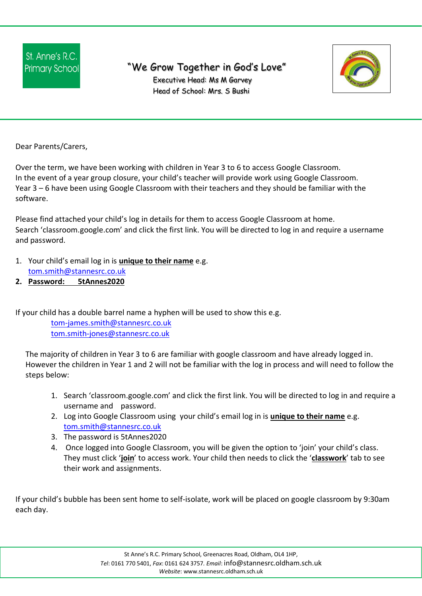## "We Grow Together in God's Love"



 Executive Head: Ms M Garvey Head of School: Mrs. S Bushi

Dear Parents/Carers,

Over the term, we have been working with children in Year 3 to 6 to access Google Classroom. In the event of a year group closure, your child's teacher will provide work using Google Classroom. Year 3 – 6 have been using Google Classroom with their teachers and they should be familiar with the software.

Please find attached your child's log in details for them to access Google Classroom at home. Search 'classroom.google.com' and click the first link. You will be directed to log in and require a username and password.

- 1. Your child's email log in is **unique to their name** e.g.
- tom.smith@stannesrc.co.uk **2. Password: 5tAnnes2020**

If your child has a double barrel name a hyphen will be used to show this e.g.

tom-james.smith@stannesrc.co.uk tom.smith-jones@stannesrc.co.uk

The majority of children in Year 3 to 6 are familiar with google classroom and have already logged in. However the children in Year 1 and 2 will not be familiar with the log in process and will need to follow the steps below:

- 1. Search 'classroom.google.com' and click the first link. You will be directed to log in and require a username and password.
- 2. Log into Google Classroom using your child's email log in is **unique to their name** e.g. tom.smith@stannesrc.co.uk
- 3. The password is 5tAnnes2020
- 4. Once logged into Google Classroom, you will be given the option to 'join' your child's class. They must click '**join**' to access work. Your child then needs to click the '**classwork**' tab to see their work and assignments.

If your child's bubble has been sent home to self-isolate, work will be placed on google classroom by 9:30am each day.